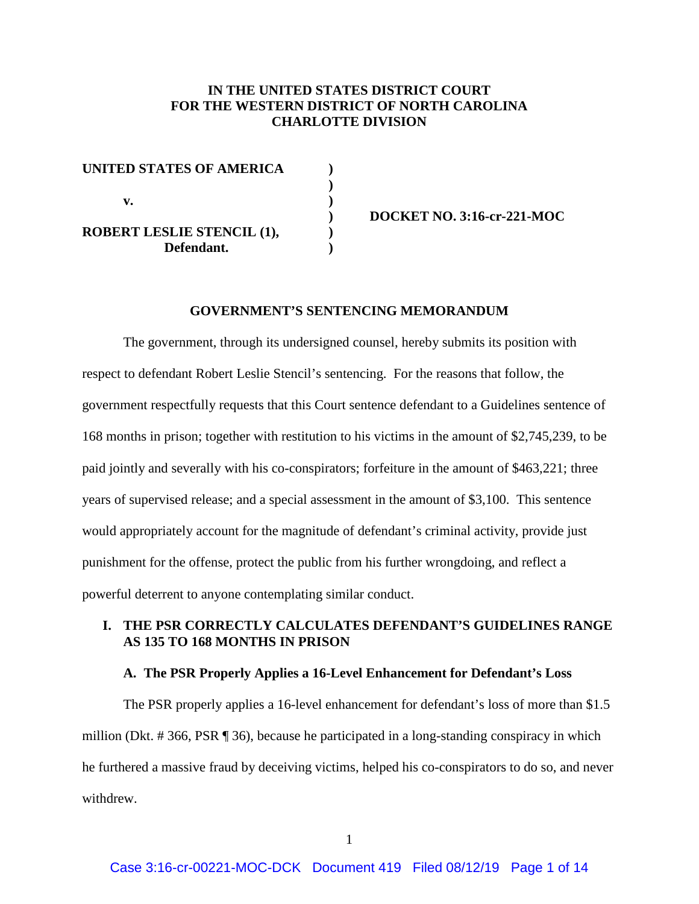# **IN THE UNITED STATES DISTRICT COURT FOR THE WESTERN DISTRICT OF NORTH CAROLINA CHARLOTTE DIVISION**

| <b>UNITED STATES OF AMERICA</b>   |  |
|-----------------------------------|--|
|                                   |  |
| v.                                |  |
|                                   |  |
| <b>ROBERT LESLIE STENCIL (1),</b> |  |
| Defendant.                        |  |

**) DOCKET NO. 3:16-cr-221-MOC**

#### **GOVERNMENT'S SENTENCING MEMORANDUM**

The government, through its undersigned counsel, hereby submits its position with respect to defendant Robert Leslie Stencil's sentencing. For the reasons that follow, the government respectfully requests that this Court sentence defendant to a Guidelines sentence of 168 months in prison; together with restitution to his victims in the amount of \$2,745,239, to be paid jointly and severally with his co-conspirators; forfeiture in the amount of \$463,221; three years of supervised release; and a special assessment in the amount of \$3,100. This sentence would appropriately account for the magnitude of defendant's criminal activity, provide just punishment for the offense, protect the public from his further wrongdoing, and reflect a powerful deterrent to anyone contemplating similar conduct.

# **I. THE PSR CORRECTLY CALCULATES DEFENDANT'S GUIDELINES RANGE AS 135 TO 168 MONTHS IN PRISON**

### **A. The PSR Properly Applies a 16-Level Enhancement for Defendant's Loss**

The PSR properly applies a 16-level enhancement for defendant's loss of more than \$1.5 million (Dkt. # 366, PSR ¶ 36), because he participated in a long-standing conspiracy in which he furthered a massive fraud by deceiving victims, helped his co-conspirators to do so, and never withdrew.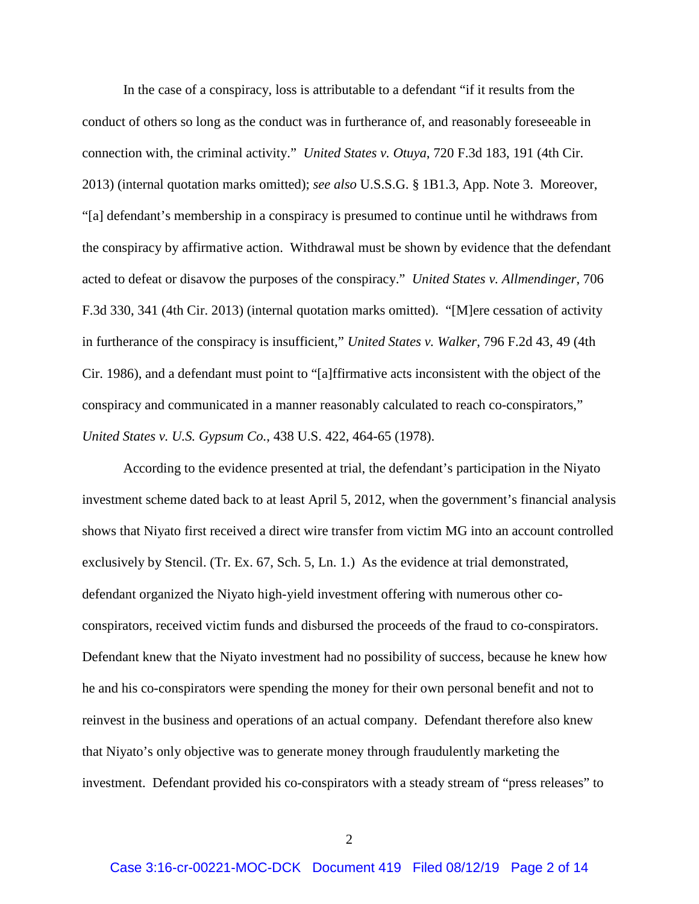In the case of a conspiracy, loss is attributable to a defendant "if it results from the conduct of others so long as the conduct was in furtherance of, and reasonably foreseeable in connection with, the criminal activity." *United States v. Otuya*, 720 F.3d 183, 191 (4th Cir. 2013) (internal quotation marks omitted); *see also* U.S.S.G. § 1B1.3, App. Note 3. Moreover, "[a] defendant's membership in a conspiracy is presumed to continue until he withdraws from the conspiracy by affirmative action. Withdrawal must be shown by evidence that the defendant acted to defeat or disavow the purposes of the conspiracy." *United States v. Allmendinger*, 706 F.3d 330, 341 (4th Cir. 2013) (internal quotation marks omitted). "[M]ere cessation of activity in furtherance of the conspiracy is insufficient," *United States v. Walker*, 796 F.2d 43, 49 (4th Cir. 1986), and a defendant must point to "[a]ffirmative acts inconsistent with the object of the conspiracy and communicated in a manner reasonably calculated to reach co-conspirators," *United States v. U.S. Gypsum Co.*, 438 U.S. 422, 464-65 (1978).

According to the evidence presented at trial, the defendant's participation in the Niyato investment scheme dated back to at least April 5, 2012, when the government's financial analysis shows that Niyato first received a direct wire transfer from victim MG into an account controlled exclusively by Stencil. (Tr. Ex. 67, Sch. 5, Ln. 1.) As the evidence at trial demonstrated, defendant organized the Niyato high-yield investment offering with numerous other coconspirators, received victim funds and disbursed the proceeds of the fraud to co-conspirators. Defendant knew that the Niyato investment had no possibility of success, because he knew how he and his co-conspirators were spending the money for their own personal benefit and not to reinvest in the business and operations of an actual company. Defendant therefore also knew that Niyato's only objective was to generate money through fraudulently marketing the investment. Defendant provided his co-conspirators with a steady stream of "press releases" to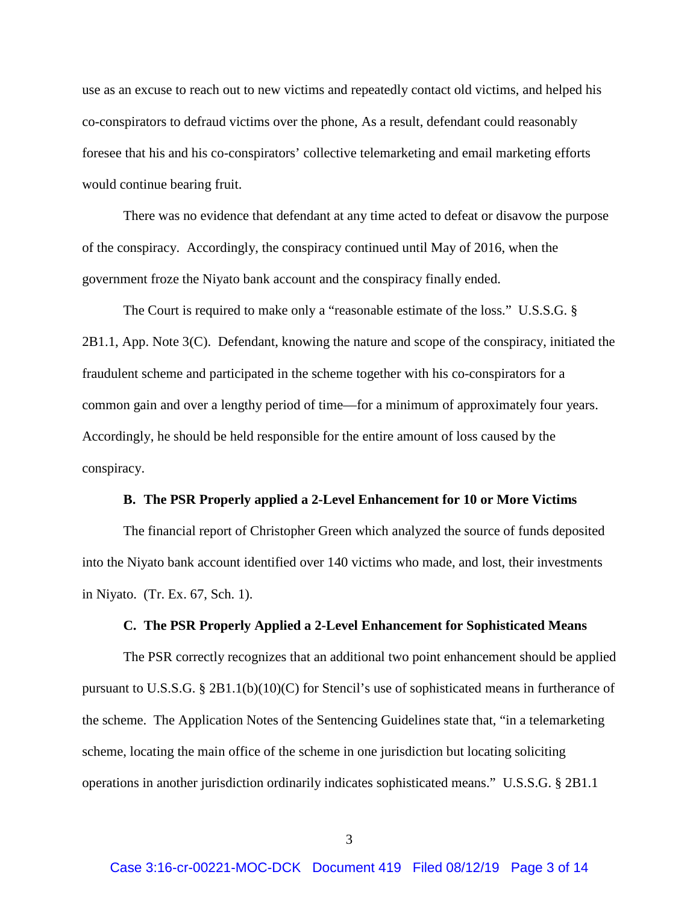use as an excuse to reach out to new victims and repeatedly contact old victims, and helped his co-conspirators to defraud victims over the phone, As a result, defendant could reasonably foresee that his and his co-conspirators' collective telemarketing and email marketing efforts would continue bearing fruit.

There was no evidence that defendant at any time acted to defeat or disavow the purpose of the conspiracy. Accordingly, the conspiracy continued until May of 2016, when the government froze the Niyato bank account and the conspiracy finally ended.

The Court is required to make only a "reasonable estimate of the loss." U.S.S.G. § 2B1.1, App. Note 3(C). Defendant, knowing the nature and scope of the conspiracy, initiated the fraudulent scheme and participated in the scheme together with his co-conspirators for a common gain and over a lengthy period of time—for a minimum of approximately four years. Accordingly, he should be held responsible for the entire amount of loss caused by the conspiracy.

### **B. The PSR Properly applied a 2-Level Enhancement for 10 or More Victims**

The financial report of Christopher Green which analyzed the source of funds deposited into the Niyato bank account identified over 140 victims who made, and lost, their investments in Niyato. (Tr. Ex. 67, Sch. 1).

### **C. The PSR Properly Applied a 2-Level Enhancement for Sophisticated Means**

The PSR correctly recognizes that an additional two point enhancement should be applied pursuant to U.S.S.G. § 2B1.1(b)(10)(C) for Stencil's use of sophisticated means in furtherance of the scheme. The Application Notes of the Sentencing Guidelines state that, "in a telemarketing scheme, locating the main office of the scheme in one jurisdiction but locating soliciting operations in another jurisdiction ordinarily indicates sophisticated means." U.S.S.G. § 2B1.1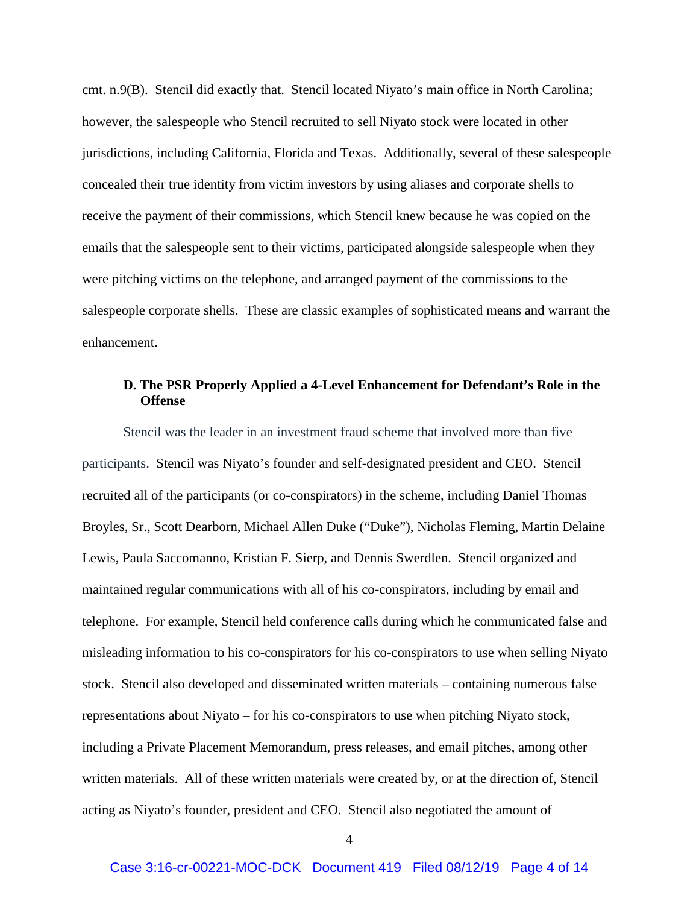cmt. n.9(B). Stencil did exactly that. Stencil located Niyato's main office in North Carolina; however, the salespeople who Stencil recruited to sell Niyato stock were located in other jurisdictions, including California, Florida and Texas. Additionally, several of these salespeople concealed their true identity from victim investors by using aliases and corporate shells to receive the payment of their commissions, which Stencil knew because he was copied on the emails that the salespeople sent to their victims, participated alongside salespeople when they were pitching victims on the telephone, and arranged payment of the commissions to the salespeople corporate shells. These are classic examples of sophisticated means and warrant the enhancement.

# **D. The PSR Properly Applied a 4-Level Enhancement for Defendant's Role in the Offense**

Stencil was the leader in an investment fraud scheme that involved more than five participants. Stencil was Niyato's founder and self-designated president and CEO. Stencil recruited all of the participants (or co-conspirators) in the scheme, including Daniel Thomas Broyles, Sr., Scott Dearborn, Michael Allen Duke ("Duke"), Nicholas Fleming, Martin Delaine Lewis, Paula Saccomanno, Kristian F. Sierp, and Dennis Swerdlen. Stencil organized and maintained regular communications with all of his co-conspirators, including by email and telephone. For example, Stencil held conference calls during which he communicated false and misleading information to his co-conspirators for his co-conspirators to use when selling Niyato stock. Stencil also developed and disseminated written materials – containing numerous false representations about Niyato – for his co-conspirators to use when pitching Niyato stock, including a Private Placement Memorandum, press releases, and email pitches, among other written materials. All of these written materials were created by, or at the direction of, Stencil acting as Niyato's founder, president and CEO. Stencil also negotiated the amount of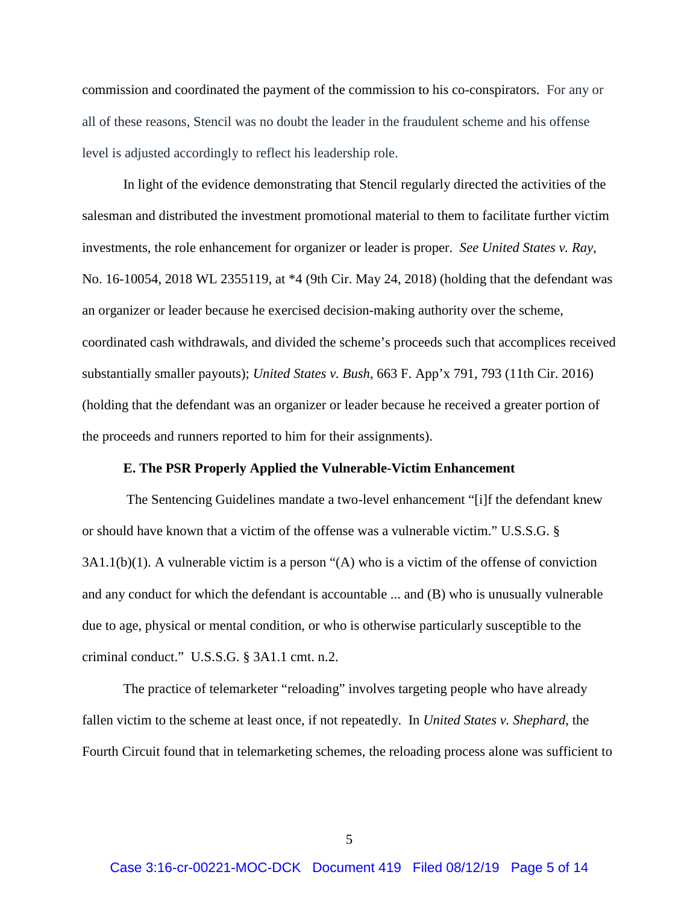commission and coordinated the payment of the commission to his co-conspirators. For any or all of these reasons, Stencil was no doubt the leader in the fraudulent scheme and his offense level is adjusted accordingly to reflect his leadership role.

In light of the evidence demonstrating that Stencil regularly directed the activities of the salesman and distributed the investment promotional material to them to facilitate further victim investments, the role enhancement for organizer or leader is proper. *See United States v. Ray*, No. 16-10054, 2018 WL 2355119, at \*4 (9th Cir. May 24, 2018) (holding that the defendant was an organizer or leader because he exercised decision-making authority over the scheme, coordinated cash withdrawals, and divided the scheme's proceeds such that accomplices received substantially smaller payouts); *United States v. Bush*, 663 F. App'x 791, 793 (11th Cir. 2016) (holding that the defendant was an organizer or leader because he received a greater portion of the proceeds and runners reported to him for their assignments).

### **E. The PSR Properly Applied the Vulnerable-Victim Enhancement**

The Sentencing Guidelines mandate a two-level enhancement "[i]f the defendant knew or should have known that a victim of the offense was a vulnerable victim." U.S.S.G. § 3A1.1(b)(1). A vulnerable victim is a person "(A) who is a victim of the offense of conviction and any conduct for which the defendant is accountable ... and (B) who is unusually vulnerable due to age, physical or mental condition, or who is otherwise particularly susceptible to the criminal conduct." U.S.S.G. § 3A1.1 cmt. n.2.

The practice of telemarketer "reloading" involves targeting people who have already fallen victim to the scheme at least once, if not repeatedly. In *United States v. Shephard*, the Fourth Circuit found that in telemarketing schemes, the reloading process alone was sufficient to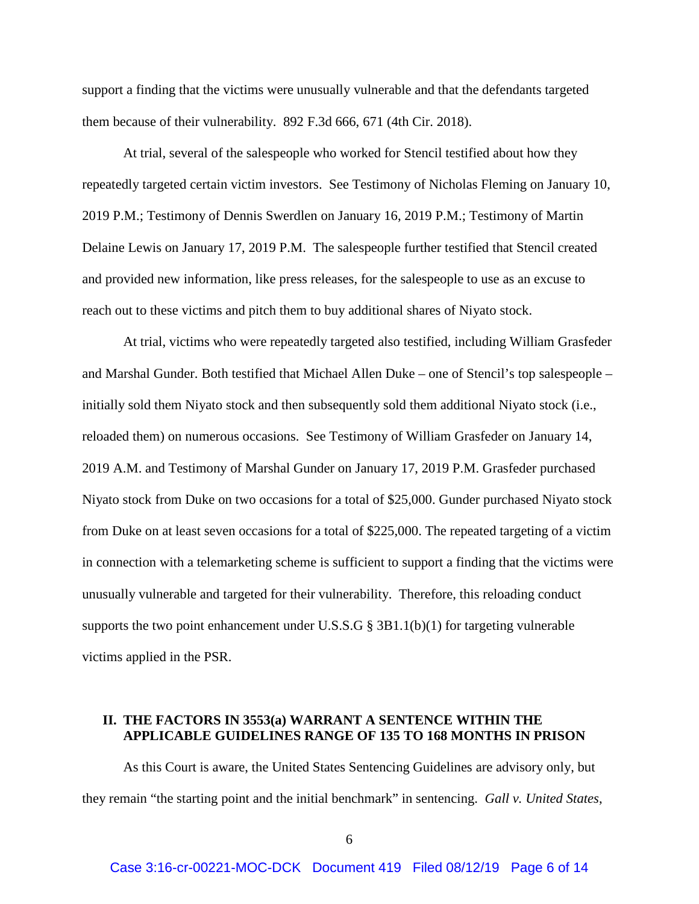support a finding that the victims were unusually vulnerable and that the defendants targeted them because of their vulnerability. 892 F.3d 666, 671 (4th Cir. 2018).

At trial, several of the salespeople who worked for Stencil testified about how they repeatedly targeted certain victim investors. See Testimony of Nicholas Fleming on January 10, 2019 P.M.; Testimony of Dennis Swerdlen on January 16, 2019 P.M.; Testimony of Martin Delaine Lewis on January 17, 2019 P.M. The salespeople further testified that Stencil created and provided new information, like press releases, for the salespeople to use as an excuse to reach out to these victims and pitch them to buy additional shares of Niyato stock.

At trial, victims who were repeatedly targeted also testified, including William Grasfeder and Marshal Gunder. Both testified that Michael Allen Duke – one of Stencil's top salespeople – initially sold them Niyato stock and then subsequently sold them additional Niyato stock (i.e., reloaded them) on numerous occasions. See Testimony of William Grasfeder on January 14, 2019 A.M. and Testimony of Marshal Gunder on January 17, 2019 P.M. Grasfeder purchased Niyato stock from Duke on two occasions for a total of \$25,000. Gunder purchased Niyato stock from Duke on at least seven occasions for a total of \$225,000. The repeated targeting of a victim in connection with a telemarketing scheme is sufficient to support a finding that the victims were unusually vulnerable and targeted for their vulnerability. Therefore, this reloading conduct supports the two point enhancement under U.S.S.G  $\S$  3B1.1(b)(1) for targeting vulnerable victims applied in the PSR.

# **II. THE FACTORS IN 3553(a) WARRANT A SENTENCE WITHIN THE APPLICABLE GUIDELINES RANGE OF 135 TO 168 MONTHS IN PRISON**

As this Court is aware, the United States Sentencing Guidelines are advisory only, but they remain "the starting point and the initial benchmark" in sentencing. *Gall v. United States*,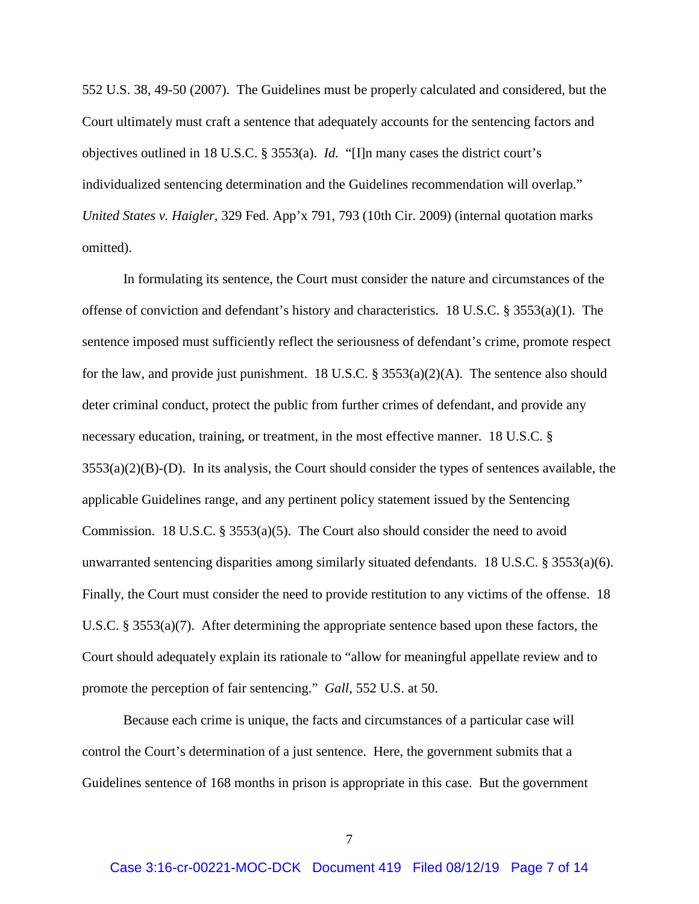552 U.S. 38, 49-50 (2007). The Guidelines must be properly calculated and considered, but the Court ultimately must craft a sentence that adequately accounts for the sentencing factors and objectives outlined in 18 U.S.C. § 3553(a). *Id.* "[I]n many cases the district court's individualized sentencing determination and the Guidelines recommendation will overlap." *United States v. Haigler*, 329 Fed. App'x 791, 793 (10th Cir. 2009) (internal quotation marks omitted).

In formulating its sentence, the Court must consider the nature and circumstances of the offense of conviction and defendant's history and characteristics. 18 U.S.C. § 3553(a)(1). The sentence imposed must sufficiently reflect the seriousness of defendant's crime, promote respect for the law, and provide just punishment. 18 U.S.C. § 3553(a)(2)(A). The sentence also should deter criminal conduct, protect the public from further crimes of defendant, and provide any necessary education, training, or treatment, in the most effective manner. 18 U.S.C. §  $3553(a)(2)(B)$ -(D). In its analysis, the Court should consider the types of sentences available, the applicable Guidelines range, and any pertinent policy statement issued by the Sentencing Commission. 18 U.S.C. § 3553(a)(5). The Court also should consider the need to avoid unwarranted sentencing disparities among similarly situated defendants. 18 U.S.C. § 3553(a)(6). Finally, the Court must consider the need to provide restitution to any victims of the offense. 18 U.S.C. § 3553(a)(7). After determining the appropriate sentence based upon these factors, the Court should adequately explain its rationale to "allow for meaningful appellate review and to promote the perception of fair sentencing." *Gall*, 552 U.S. at 50.

Because each crime is unique, the facts and circumstances of a particular case will control the Court's determination of a just sentence. Here, the government submits that a Guidelines sentence of 168 months in prison is appropriate in this case. But the government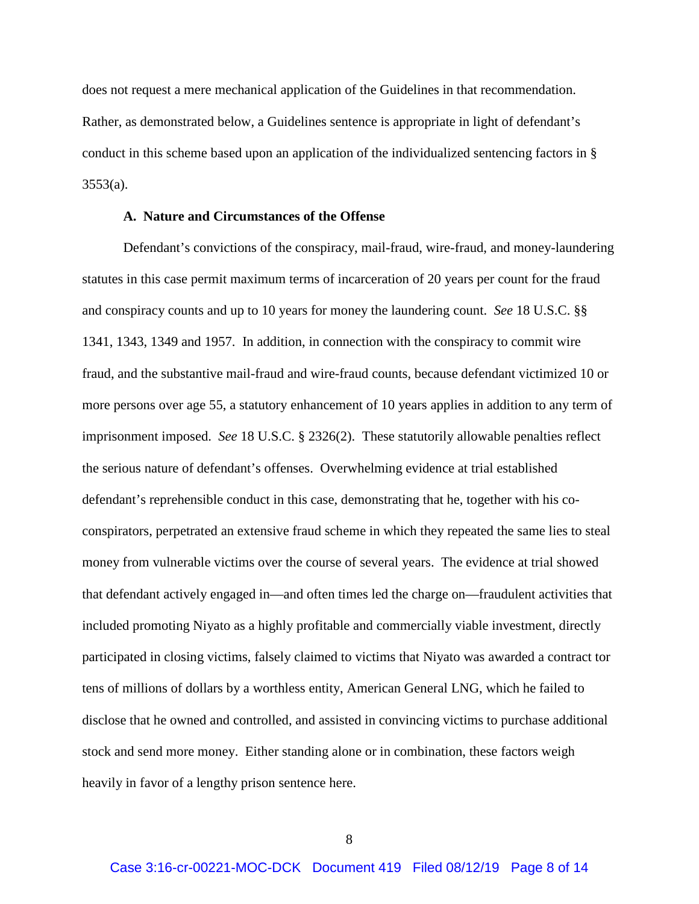does not request a mere mechanical application of the Guidelines in that recommendation. Rather, as demonstrated below, a Guidelines sentence is appropriate in light of defendant's conduct in this scheme based upon an application of the individualized sentencing factors in §  $3553(a)$ .

### **A. Nature and Circumstances of the Offense**

Defendant's convictions of the conspiracy, mail-fraud, wire-fraud, and money-laundering statutes in this case permit maximum terms of incarceration of 20 years per count for the fraud and conspiracy counts and up to 10 years for money the laundering count. *See* 18 U.S.C. §§ 1341, 1343, 1349 and 1957. In addition, in connection with the conspiracy to commit wire fraud, and the substantive mail-fraud and wire-fraud counts, because defendant victimized 10 or more persons over age 55, a statutory enhancement of 10 years applies in addition to any term of imprisonment imposed. *See* 18 U.S.C. § 2326(2). These statutorily allowable penalties reflect the serious nature of defendant's offenses. Overwhelming evidence at trial established defendant's reprehensible conduct in this case, demonstrating that he, together with his coconspirators, perpetrated an extensive fraud scheme in which they repeated the same lies to steal money from vulnerable victims over the course of several years. The evidence at trial showed that defendant actively engaged in—and often times led the charge on—fraudulent activities that included promoting Niyato as a highly profitable and commercially viable investment, directly participated in closing victims, falsely claimed to victims that Niyato was awarded a contract tor tens of millions of dollars by a worthless entity, American General LNG, which he failed to disclose that he owned and controlled, and assisted in convincing victims to purchase additional stock and send more money. Either standing alone or in combination, these factors weigh heavily in favor of a lengthy prison sentence here.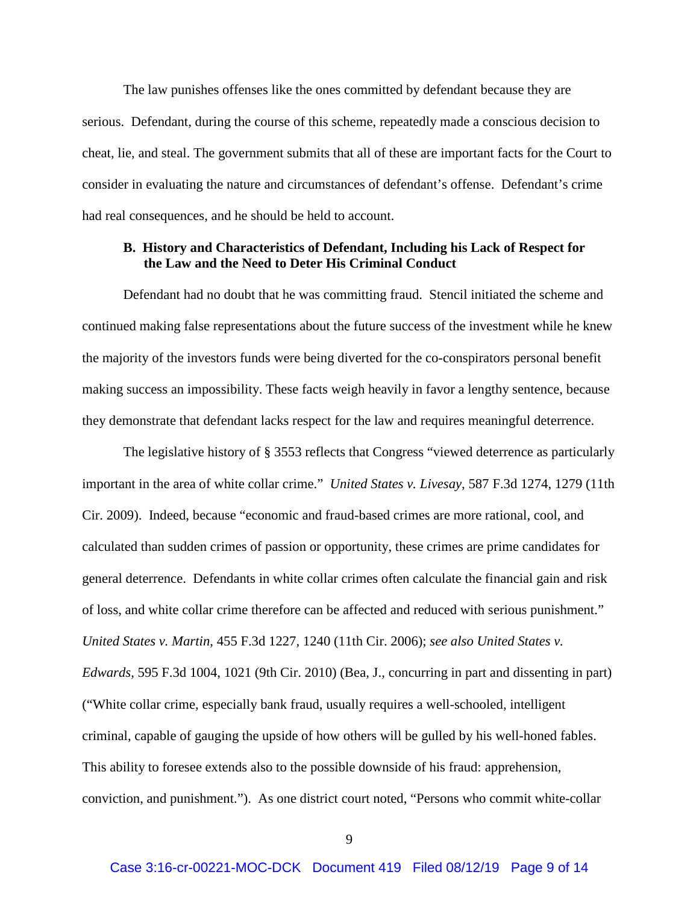The law punishes offenses like the ones committed by defendant because they are serious. Defendant, during the course of this scheme, repeatedly made a conscious decision to cheat, lie, and steal. The government submits that all of these are important facts for the Court to consider in evaluating the nature and circumstances of defendant's offense. Defendant's crime had real consequences, and he should be held to account.

## **B. History and Characteristics of Defendant, Including his Lack of Respect for the Law and the Need to Deter His Criminal Conduct**

Defendant had no doubt that he was committing fraud. Stencil initiated the scheme and continued making false representations about the future success of the investment while he knew the majority of the investors funds were being diverted for the co-conspirators personal benefit making success an impossibility. These facts weigh heavily in favor a lengthy sentence, because they demonstrate that defendant lacks respect for the law and requires meaningful deterrence.

The legislative history of § 3553 reflects that Congress "viewed deterrence as particularly important in the area of white collar crime." *United States v. Livesay*, 587 F.3d 1274, 1279 (11th Cir. 2009). Indeed, because "economic and fraud-based crimes are more rational, cool, and calculated than sudden crimes of passion or opportunity, these crimes are prime candidates for general deterrence. Defendants in white collar crimes often calculate the financial gain and risk of loss, and white collar crime therefore can be affected and reduced with serious punishment." *United States v. Martin*, 455 F.3d 1227, 1240 (11th Cir. 2006); *see also United States v. Edwards*, 595 F.3d 1004, 1021 (9th Cir. 2010) (Bea, J., concurring in part and dissenting in part) ("White collar crime, especially bank fraud, usually requires a well-schooled, intelligent criminal, capable of gauging the upside of how others will be gulled by his well-honed fables. This ability to foresee extends also to the possible downside of his fraud: apprehension, conviction, and punishment."). As one district court noted, "Persons who commit white-collar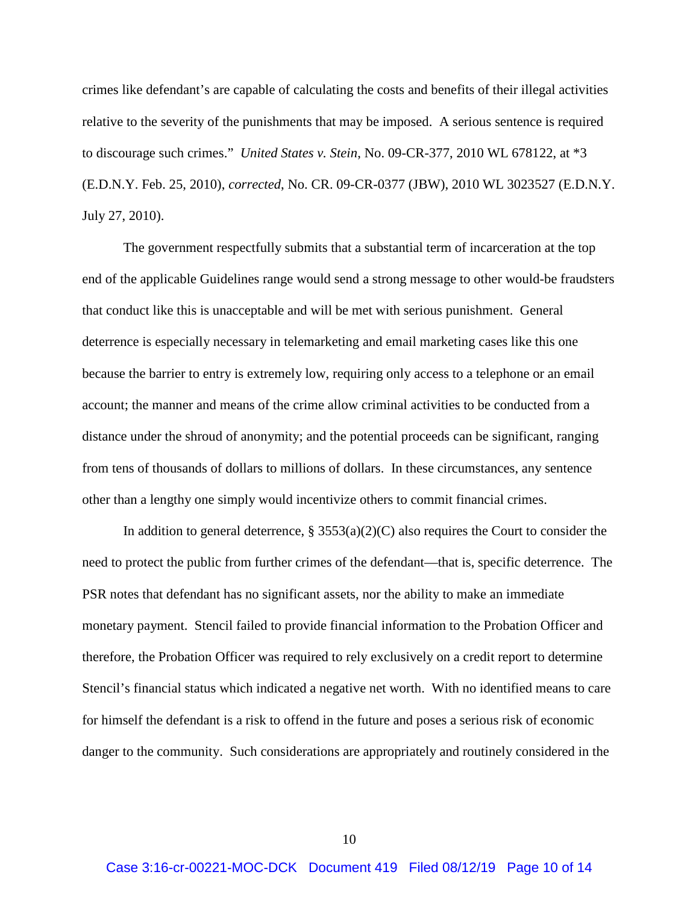crimes like defendant's are capable of calculating the costs and benefits of their illegal activities relative to the severity of the punishments that may be imposed. A serious sentence is required to discourage such crimes." *United States v. Stein*, No. 09-CR-377, 2010 WL 678122, at \*3 (E.D.N.Y. Feb. 25, 2010), *corrected*, No. CR. 09-CR-0377 (JBW), 2010 WL 3023527 (E.D.N.Y. July 27, 2010).

The government respectfully submits that a substantial term of incarceration at the top end of the applicable Guidelines range would send a strong message to other would-be fraudsters that conduct like this is unacceptable and will be met with serious punishment. General deterrence is especially necessary in telemarketing and email marketing cases like this one because the barrier to entry is extremely low, requiring only access to a telephone or an email account; the manner and means of the crime allow criminal activities to be conducted from a distance under the shroud of anonymity; and the potential proceeds can be significant, ranging from tens of thousands of dollars to millions of dollars. In these circumstances, any sentence other than a lengthy one simply would incentivize others to commit financial crimes.

In addition to general deterrence,  $\S 3553(a)(2)(C)$  also requires the Court to consider the need to protect the public from further crimes of the defendant—that is, specific deterrence. The PSR notes that defendant has no significant assets, nor the ability to make an immediate monetary payment. Stencil failed to provide financial information to the Probation Officer and therefore, the Probation Officer was required to rely exclusively on a credit report to determine Stencil's financial status which indicated a negative net worth. With no identified means to care for himself the defendant is a risk to offend in the future and poses a serious risk of economic danger to the community. Such considerations are appropriately and routinely considered in the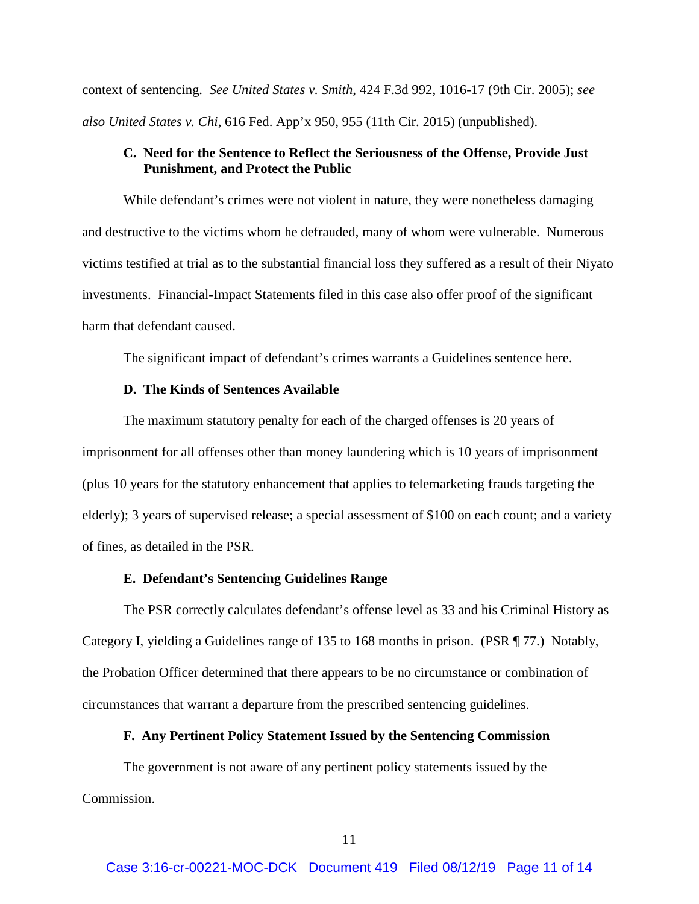context of sentencing. *See United States v. Smith*, 424 F.3d 992, 1016-17 (9th Cir. 2005); *see also United States v. Chi*, 616 Fed. App'x 950, 955 (11th Cir. 2015) (unpublished).

# **C. Need for the Sentence to Reflect the Seriousness of the Offense, Provide Just Punishment, and Protect the Public**

While defendant's crimes were not violent in nature, they were nonetheless damaging and destructive to the victims whom he defrauded, many of whom were vulnerable. Numerous victims testified at trial as to the substantial financial loss they suffered as a result of their Niyato investments. Financial-Impact Statements filed in this case also offer proof of the significant harm that defendant caused.

The significant impact of defendant's crimes warrants a Guidelines sentence here.

### **D. The Kinds of Sentences Available**

The maximum statutory penalty for each of the charged offenses is 20 years of imprisonment for all offenses other than money laundering which is 10 years of imprisonment (plus 10 years for the statutory enhancement that applies to telemarketing frauds targeting the elderly); 3 years of supervised release; a special assessment of \$100 on each count; and a variety of fines, as detailed in the PSR.

### **E. Defendant's Sentencing Guidelines Range**

The PSR correctly calculates defendant's offense level as 33 and his Criminal History as Category I, yielding a Guidelines range of 135 to 168 months in prison. (PSR ¶ 77.) Notably, the Probation Officer determined that there appears to be no circumstance or combination of circumstances that warrant a departure from the prescribed sentencing guidelines.

### **F. Any Pertinent Policy Statement Issued by the Sentencing Commission**

The government is not aware of any pertinent policy statements issued by the Commission.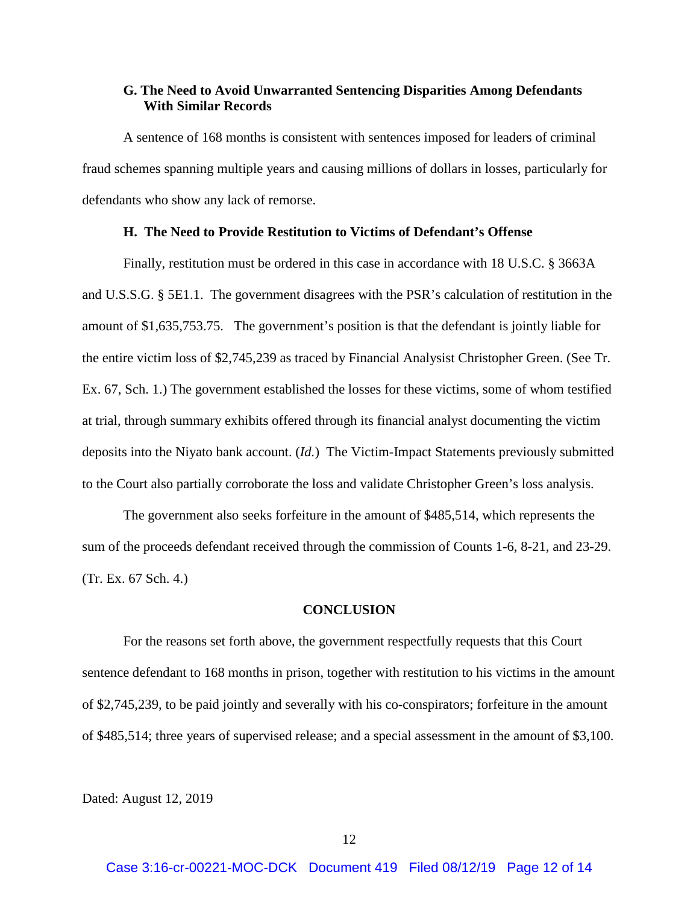## **G. The Need to Avoid Unwarranted Sentencing Disparities Among Defendants With Similar Records**

A sentence of 168 months is consistent with sentences imposed for leaders of criminal fraud schemes spanning multiple years and causing millions of dollars in losses, particularly for defendants who show any lack of remorse.

#### **H. The Need to Provide Restitution to Victims of Defendant's Offense**

Finally, restitution must be ordered in this case in accordance with 18 U.S.C. § 3663A and U.S.S.G. § 5E1.1. The government disagrees with the PSR's calculation of restitution in the amount of \$1,635,753.75. The government's position is that the defendant is jointly liable for the entire victim loss of \$2,745,239 as traced by Financial Analysist Christopher Green. (See Tr. Ex. 67, Sch. 1.) The government established the losses for these victims, some of whom testified at trial, through summary exhibits offered through its financial analyst documenting the victim deposits into the Niyato bank account. (*Id.*) The Victim-Impact Statements previously submitted to the Court also partially corroborate the loss and validate Christopher Green's loss analysis.

The government also seeks forfeiture in the amount of \$485,514, which represents the sum of the proceeds defendant received through the commission of Counts 1-6, 8-21, and 23-29. (Tr. Ex. 67 Sch. 4.)

## **CONCLUSION**

For the reasons set forth above, the government respectfully requests that this Court sentence defendant to 168 months in prison, together with restitution to his victims in the amount of \$2,745,239, to be paid jointly and severally with his co-conspirators; forfeiture in the amount of \$485,514; three years of supervised release; and a special assessment in the amount of \$3,100.

Dated: August 12, 2019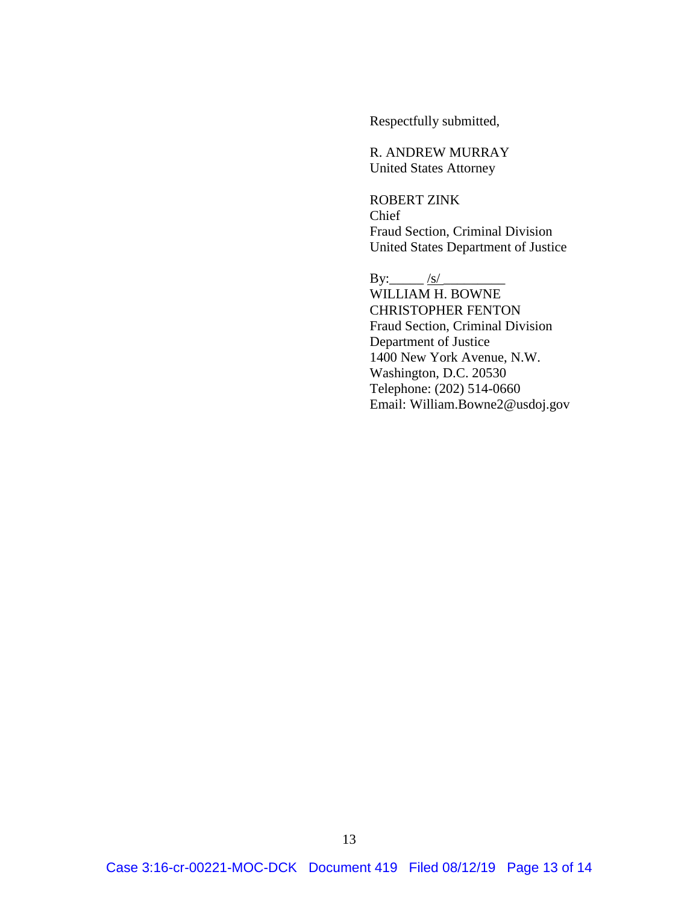Respectfully submitted,

R. ANDREW MURRAY United States Attorney

ROBERT ZINK Chief Fraud Section, Criminal Division United States Department of Justice

By:  $\frac{|s|}{|s|}$ WILLIAM H. BOWNE CHRISTOPHER FENTON Fraud Section, Criminal Division Department of Justice 1400 New York Avenue, N.W. Washington, D.C. 20530 Telephone: (202) 514-0660 Email: William.Bowne2@usdoj.gov